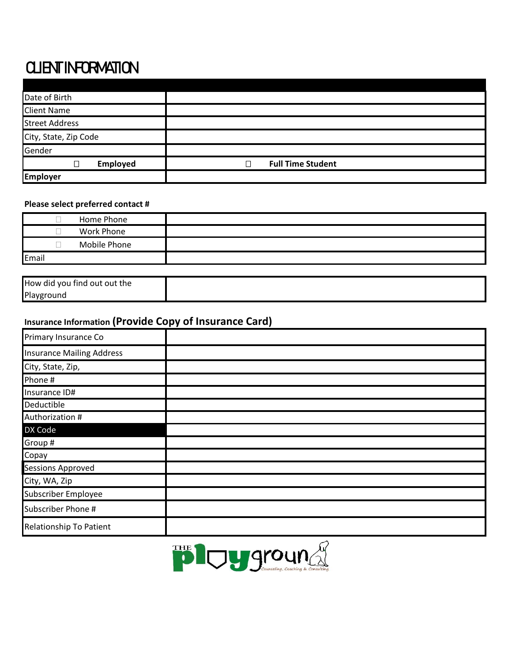## **CLIENT INFORMATION**

| Date of Birth         |                               |
|-----------------------|-------------------------------|
| <b>Client Name</b>    |                               |
| <b>Street Address</b> |                               |
| City, State, Zip Code |                               |
| Gender                |                               |
| Employed<br>П         | <b>Full Time Student</b><br>П |
| <b>Employer</b>       |                               |

## **Please select preferred contact #**

| Work Phone   |
|--------------|
|              |
| Mobile Phone |
| Email        |

| How did you find out out the |  |
|------------------------------|--|
| Playground                   |  |

## **Insurance Information (Provide Copy of Insurance Card)**

| Primary Insurance Co             |  |
|----------------------------------|--|
| <b>Insurance Mailing Address</b> |  |
| City, State, Zip,                |  |
| Phone #                          |  |
| Insurance ID#                    |  |
| Deductible                       |  |
| Authorization #                  |  |
| DX Code                          |  |
| Group #                          |  |
| Copay                            |  |
| <b>Sessions Approved</b>         |  |
| City, WA, Zip                    |  |
| Subscriber Employee              |  |
| Subscriber Phone #               |  |
| Relationship To Patient          |  |

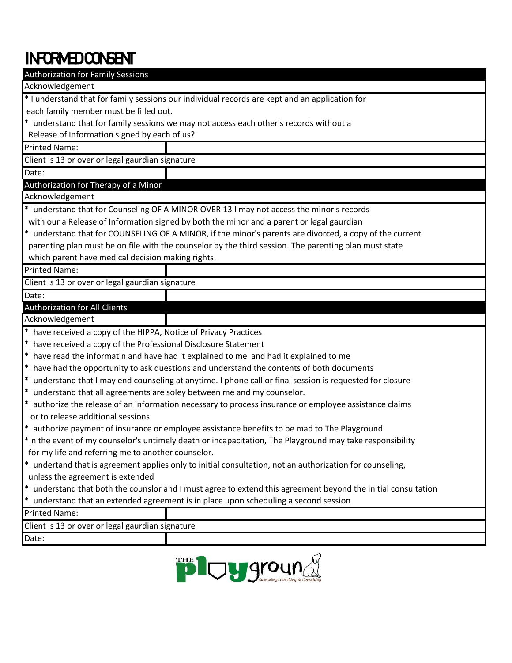## INFORMED CONSENT

| <b>Authorization for Family Sessions</b>                                 |                                                                                                                |
|--------------------------------------------------------------------------|----------------------------------------------------------------------------------------------------------------|
| Acknowledgement                                                          |                                                                                                                |
|                                                                          | * I understand that for family sessions our individual records are kept and an application for                 |
| each family member must be filled out.                                   |                                                                                                                |
|                                                                          | *I understand that for family sessions we may not access each other's records without a                        |
| Release of Information signed by each of us?                             |                                                                                                                |
| <b>Printed Name:</b>                                                     |                                                                                                                |
| Client is 13 or over or legal gaurdian signature                         |                                                                                                                |
| Date:                                                                    |                                                                                                                |
| Authorization for Therapy of a Minor                                     |                                                                                                                |
| Acknowledgement                                                          |                                                                                                                |
|                                                                          | *I understand that for Counseling OF A MINOR OVER 13 I may not access the minor's records                      |
|                                                                          | with our a Release of Information signed by both the minor and a parent or legal gaurdian                      |
|                                                                          | *I understand that for COUNSELING OF A MINOR, if the minor's parents are divorced, a copy of the current       |
|                                                                          | parenting plan must be on file with the counselor by the third session. The parenting plan must state          |
| which parent have medical decision making rights.                        |                                                                                                                |
| <b>Printed Name:</b>                                                     |                                                                                                                |
| Client is 13 or over or legal gaurdian signature                         |                                                                                                                |
| Date:                                                                    |                                                                                                                |
| <b>Authorization for All Clients</b>                                     |                                                                                                                |
| Acknowledgement                                                          |                                                                                                                |
| *I have received a copy of the HIPPA, Notice of Privacy Practices        |                                                                                                                |
| *I have received a copy of the Professional Disclosure Statement         |                                                                                                                |
|                                                                          | *I have read the informatin and have had it explained to me and had it explained to me                         |
|                                                                          |                                                                                                                |
|                                                                          | *I have had the opportunity to ask questions and understand the contents of both documents                     |
|                                                                          | *I understand that I may end counseling at anytime. I phone call or final session is requested for closure     |
| *I understand that all agreements are soley between me and my counselor. |                                                                                                                |
| or to release additional sessions.                                       | *I authorize the release of an information necessary to process insurance or employee assistance claims        |
|                                                                          | *I authorize payment of insurance or employee assistance benefits to be mad to The Playground                  |
|                                                                          | *In the event of my counselor's untimely death or incapacitation, The Playground may take responsibility       |
| for my life and referring me to another counselor.                       |                                                                                                                |
|                                                                          | *I undertand that is agreement applies only to initial consultation, not an authorization for counseling,      |
| unless the agreement is extended                                         |                                                                                                                |
|                                                                          | *I understand that both the counslor and I must agree to extend this agreement beyond the initial consultation |
|                                                                          | *I understand that an extended agreement is in place upon scheduling a second session                          |
| <b>Printed Name:</b>                                                     |                                                                                                                |
| Client is 13 or over or legal gaurdian signature                         |                                                                                                                |
| Date:                                                                    |                                                                                                                |